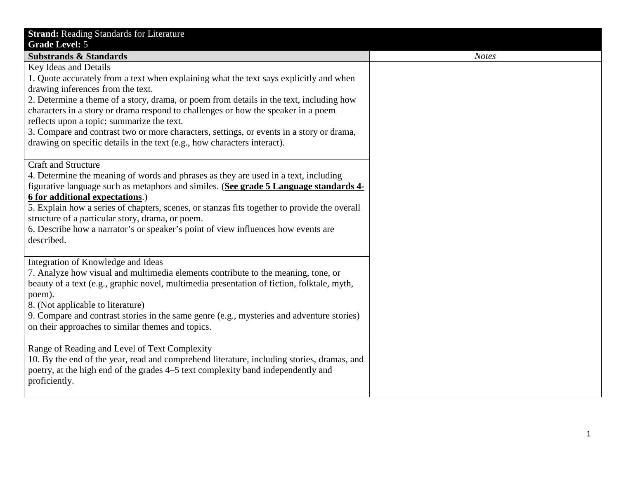| <b>Strand: Reading Standards for Literature</b>                                                                                                                                                                                                                                                                                                                                                                                                                                                                                                            |
|------------------------------------------------------------------------------------------------------------------------------------------------------------------------------------------------------------------------------------------------------------------------------------------------------------------------------------------------------------------------------------------------------------------------------------------------------------------------------------------------------------------------------------------------------------|
| <b>Grade Level: 5</b><br><b>Substrands &amp; Standards</b>                                                                                                                                                                                                                                                                                                                                                                                                                                                                                                 |
| Key Ideas and Details<br>1. Quote accurately from a text when explaining what the text says explicitly and when<br>drawing inferences from the text.<br>2. Determine a theme of a story, drama, or poem from details in the text, including how<br>characters in a story or drama respond to challenges or how the speaker in a poem<br>reflects upon a topic; summarize the text.<br>3. Compare and contrast two or more characters, settings, or events in a story or drama,<br>drawing on specific details in the text (e.g., how characters interact). |
| <b>Craft and Structure</b><br>4. Determine the meaning of words and phrases as they are used in a text, including<br>figurative language such as metaphors and similes. (See grade 5 Language standards 4-<br>6 for additional expectations.)<br>5. Explain how a series of chapters, scenes, or stanzas fits together to provide the overall<br>structure of a particular story, drama, or poem.<br>6. Describe how a narrator's or speaker's point of view influences how events are<br>described.                                                       |
| Integration of Knowledge and Ideas<br>7. Analyze how visual and multimedia elements contribute to the meaning, tone, or<br>beauty of a text (e.g., graphic novel, multimedia presentation of fiction, folktale, myth,<br>poem).<br>8. (Not applicable to literature)<br>9. Compare and contrast stories in the same genre (e.g., mysteries and adventure stories)<br>on their approaches to similar themes and topics.                                                                                                                                     |
| Range of Reading and Level of Text Complexity<br>10. By the end of the year, read and comprehend literature, including stories, dramas, and<br>poetry, at the high end of the grades 4–5 text complexity band independently and<br>proficiently.                                                                                                                                                                                                                                                                                                           |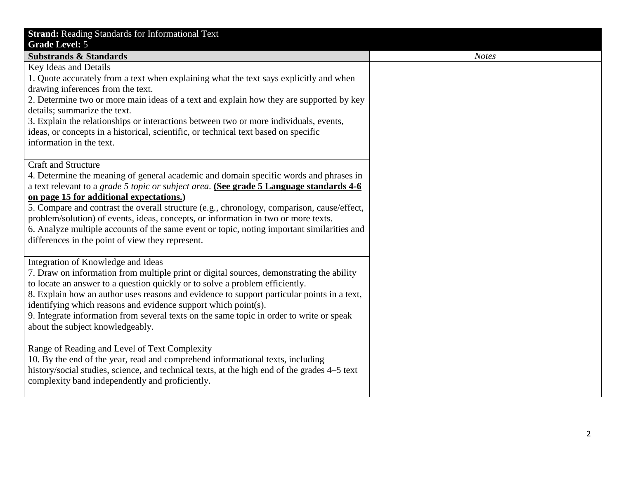| <b>Strand: Reading Standards for Informational Text</b>                                                                                                                      |
|------------------------------------------------------------------------------------------------------------------------------------------------------------------------------|
| <b>Grade Level: 5</b>                                                                                                                                                        |
| <b>Substrands &amp; Standards</b>                                                                                                                                            |
| Key Ideas and Details                                                                                                                                                        |
| 1. Quote accurately from a text when explaining what the text says explicitly and when                                                                                       |
| drawing inferences from the text.                                                                                                                                            |
| 2. Determine two or more main ideas of a text and explain how they are supported by key                                                                                      |
| details; summarize the text.                                                                                                                                                 |
| 3. Explain the relationships or interactions between two or more individuals, events,<br>ideas, or concepts in a historical, scientific, or technical text based on specific |
| information in the text.                                                                                                                                                     |
|                                                                                                                                                                              |
| <b>Craft and Structure</b>                                                                                                                                                   |
| 4. Determine the meaning of general academic and domain specific words and phrases in                                                                                        |
| a text relevant to a grade 5 topic or subject area. (See grade 5 Language standards 4-6                                                                                      |
| on page 15 for additional expectations.)                                                                                                                                     |
| 5. Compare and contrast the overall structure (e.g., chronology, comparison, cause/effect,                                                                                   |
| problem/solution) of events, ideas, concepts, or information in two or more texts.                                                                                           |
| 6. Analyze multiple accounts of the same event or topic, noting important similarities and                                                                                   |
| differences in the point of view they represent.                                                                                                                             |
|                                                                                                                                                                              |
| Integration of Knowledge and Ideas<br>7. Draw on information from multiple print or digital sources, demonstrating the ability                                               |
| to locate an answer to a question quickly or to solve a problem efficiently.                                                                                                 |
| 8. Explain how an author uses reasons and evidence to support particular points in a text,                                                                                   |
| identifying which reasons and evidence support which point(s).                                                                                                               |
| 9. Integrate information from several texts on the same topic in order to write or speak                                                                                     |
| about the subject knowledgeably.                                                                                                                                             |
|                                                                                                                                                                              |
| Range of Reading and Level of Text Complexity                                                                                                                                |
| 10. By the end of the year, read and comprehend informational texts, including                                                                                               |
| history/social studies, science, and technical texts, at the high end of the grades 4–5 text                                                                                 |
| complexity band independently and proficiently.                                                                                                                              |
|                                                                                                                                                                              |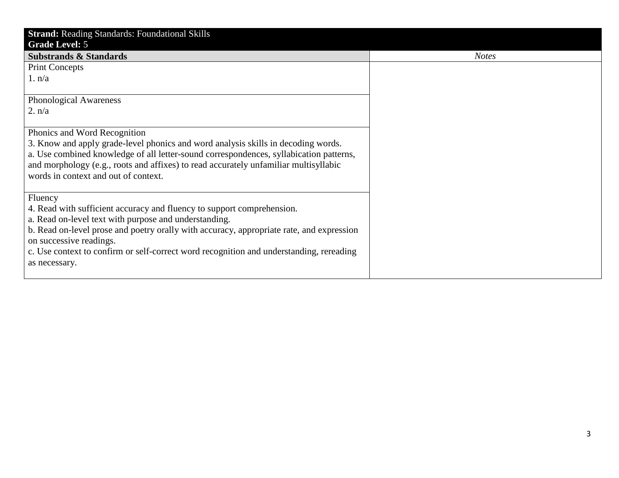| <b>Strand: Reading Standards: Foundational Skills</b>                                    |              |
|------------------------------------------------------------------------------------------|--------------|
| <b>Grade Level: 5</b>                                                                    |              |
| <b>Substrands &amp; Standards</b>                                                        | <b>Notes</b> |
| <b>Print Concepts</b>                                                                    |              |
| 1. n/a                                                                                   |              |
|                                                                                          |              |
| <b>Phonological Awareness</b>                                                            |              |
| 2. n/a                                                                                   |              |
|                                                                                          |              |
| Phonics and Word Recognition                                                             |              |
| 3. Know and apply grade-level phonics and word analysis skills in decoding words.        |              |
| a. Use combined knowledge of all letter-sound correspondences, syllabication patterns,   |              |
| and morphology (e.g., roots and affixes) to read accurately unfamiliar multisyllabic     |              |
| words in context and out of context.                                                     |              |
|                                                                                          |              |
| Fluency                                                                                  |              |
| 4. Read with sufficient accuracy and fluency to support comprehension.                   |              |
| a. Read on-level text with purpose and understanding.                                    |              |
| b. Read on-level prose and poetry orally with accuracy, appropriate rate, and expression |              |
| on successive readings.                                                                  |              |
| c. Use context to confirm or self-correct word recognition and understanding, rereading  |              |
| as necessary.                                                                            |              |
|                                                                                          |              |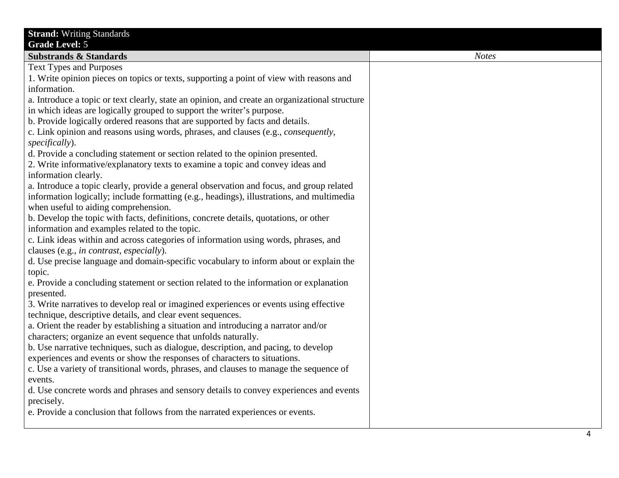| <b>Strand: Writing Standards</b>                                                               |              |
|------------------------------------------------------------------------------------------------|--------------|
| <b>Grade Level: 5</b>                                                                          |              |
| <b>Substrands &amp; Standards</b>                                                              | <b>Notes</b> |
| <b>Text Types and Purposes</b>                                                                 |              |
| 1. Write opinion pieces on topics or texts, supporting a point of view with reasons and        |              |
| information.                                                                                   |              |
| a. Introduce a topic or text clearly, state an opinion, and create an organizational structure |              |
| in which ideas are logically grouped to support the writer's purpose.                          |              |
| b. Provide logically ordered reasons that are supported by facts and details.                  |              |
| c. Link opinion and reasons using words, phrases, and clauses (e.g., <i>consequently</i> ,     |              |
| specifically).                                                                                 |              |
| d. Provide a concluding statement or section related to the opinion presented.                 |              |
| 2. Write informative/explanatory texts to examine a topic and convey ideas and                 |              |
| information clearly.                                                                           |              |
| a. Introduce a topic clearly, provide a general observation and focus, and group related       |              |
| information logically; include formatting (e.g., headings), illustrations, and multimedia      |              |
| when useful to aiding comprehension.                                                           |              |
| b. Develop the topic with facts, definitions, concrete details, quotations, or other           |              |
| information and examples related to the topic.                                                 |              |
| c. Link ideas within and across categories of information using words, phrases, and            |              |
|                                                                                                |              |
| clauses (e.g., in contrast, especially).                                                       |              |
| d. Use precise language and domain-specific vocabulary to inform about or explain the          |              |
| topic.                                                                                         |              |
| e. Provide a concluding statement or section related to the information or explanation         |              |
| presented.                                                                                     |              |
| 3. Write narratives to develop real or imagined experiences or events using effective          |              |
| technique, descriptive details, and clear event sequences.                                     |              |
| a. Orient the reader by establishing a situation and introducing a narrator and/or             |              |
| characters; organize an event sequence that unfolds naturally.                                 |              |
| b. Use narrative techniques, such as dialogue, description, and pacing, to develop             |              |
| experiences and events or show the responses of characters to situations.                      |              |
| c. Use a variety of transitional words, phrases, and clauses to manage the sequence of         |              |
| events.                                                                                        |              |
| d. Use concrete words and phrases and sensory details to convey experiences and events         |              |
| precisely.                                                                                     |              |
| e. Provide a conclusion that follows from the narrated experiences or events.                  |              |
|                                                                                                |              |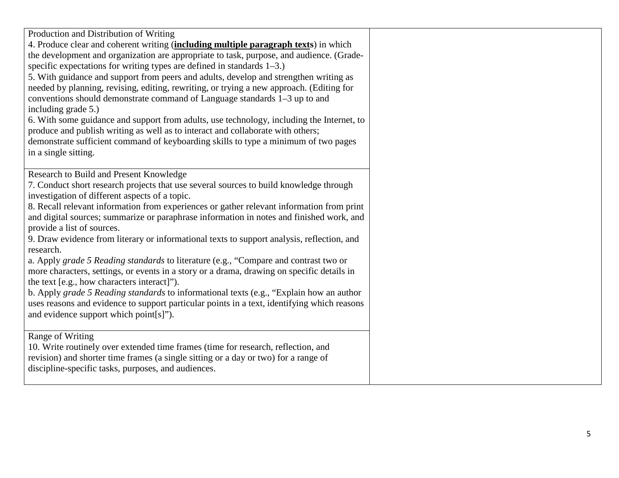| Production and Distribution of Writing<br>4. Produce clear and coherent writing (including multiple paragraph texts) in which<br>the development and organization are appropriate to task, purpose, and audience. (Grade-                                                                                                                                                    |
|------------------------------------------------------------------------------------------------------------------------------------------------------------------------------------------------------------------------------------------------------------------------------------------------------------------------------------------------------------------------------|
| specific expectations for writing types are defined in standards $1-3$ .)<br>5. With guidance and support from peers and adults, develop and strengthen writing as                                                                                                                                                                                                           |
| needed by planning, revising, editing, rewriting, or trying a new approach. (Editing for<br>conventions should demonstrate command of Language standards 1–3 up to and<br>including grade 5.)                                                                                                                                                                                |
| 6. With some guidance and support from adults, use technology, including the Internet, to<br>produce and publish writing as well as to interact and collaborate with others;<br>demonstrate sufficient command of keyboarding skills to type a minimum of two pages                                                                                                          |
| in a single sitting.                                                                                                                                                                                                                                                                                                                                                         |
| Research to Build and Present Knowledge<br>7. Conduct short research projects that use several sources to build knowledge through<br>investigation of different aspects of a topic.<br>8. Recall relevant information from experiences or gather relevant information from print<br>and digital sources; summarize or paraphrase information in notes and finished work, and |
| provide a list of sources.<br>9. Draw evidence from literary or informational texts to support analysis, reflection, and<br>research.                                                                                                                                                                                                                                        |
| a. Apply grade 5 Reading standards to literature (e.g., "Compare and contrast two or<br>more characters, settings, or events in a story or a drama, drawing on specific details in<br>the text [e.g., how characters interact]").                                                                                                                                            |
| b. Apply grade 5 Reading standards to informational texts (e.g., "Explain how an author<br>uses reasons and evidence to support particular points in a text, identifying which reasons<br>and evidence support which point[s]").                                                                                                                                             |
| Range of Writing<br>10. Write routinely over extended time frames (time for research, reflection, and<br>revision) and shorter time frames (a single sitting or a day or two) for a range of<br>discipline-specific tasks, purposes, and audiences.                                                                                                                          |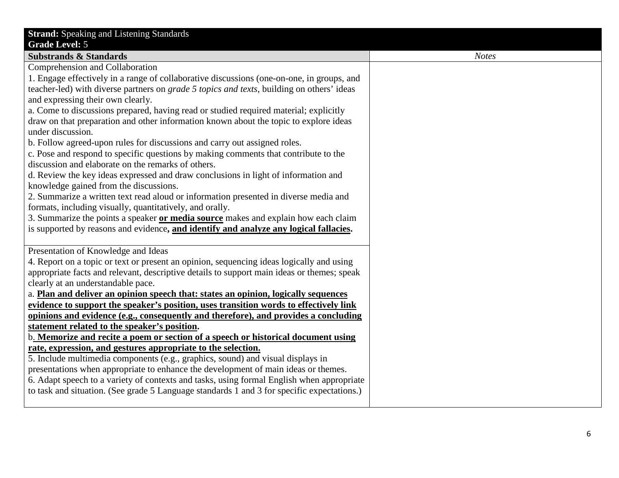| <b>Strand:</b> Speaking and Listening Standards                                                   |
|---------------------------------------------------------------------------------------------------|
| <b>Grade Level: 5</b>                                                                             |
| <b>Substrands &amp; Standards</b>                                                                 |
| Comprehension and Collaboration                                                                   |
| 1. Engage effectively in a range of collaborative discussions (one-on-one, in groups, and         |
| teacher-led) with diverse partners on <i>grade 5 topics and texts</i> , building on others' ideas |
| and expressing their own clearly.                                                                 |
| a. Come to discussions prepared, having read or studied required material; explicitly             |
| draw on that preparation and other information known about the topic to explore ideas             |
| under discussion.                                                                                 |
| b. Follow agreed-upon rules for discussions and carry out assigned roles.                         |
| c. Pose and respond to specific questions by making comments that contribute to the               |
| discussion and elaborate on the remarks of others.                                                |
| d. Review the key ideas expressed and draw conclusions in light of information and                |
| knowledge gained from the discussions.                                                            |
| 2. Summarize a written text read aloud or information presented in diverse media and              |
| formats, including visually, quantitatively, and orally.                                          |
| 3. Summarize the points a speaker or media source makes and explain how each claim                |
| is supported by reasons and evidence, and identify and analyze any logical fallacies.             |
|                                                                                                   |
| Presentation of Knowledge and Ideas                                                               |
| 4. Report on a topic or text or present an opinion, sequencing ideas logically and using          |
| appropriate facts and relevant, descriptive details to support main ideas or themes; speak        |
| clearly at an understandable pace.                                                                |
| a. Plan and deliver an opinion speech that: states an opinion, logically sequences                |
| evidence to support the speaker's position, uses transition words to effectively link             |
| opinions and evidence (e.g., consequently and therefore), and provides a concluding               |
| statement related to the speaker's position.                                                      |
| b. Memorize and recite a poem or section of a speech or historical document using                 |
| rate, expression, and gestures appropriate to the selection.                                      |
| 5. Include multimedia components (e.g., graphics, sound) and visual displays in                   |
| presentations when appropriate to enhance the development of main ideas or themes.                |
| 6. Adapt speech to a variety of contexts and tasks, using formal English when appropriate         |
| to task and situation. (See grade 5 Language standards 1 and 3 for specific expectations.)        |
|                                                                                                   |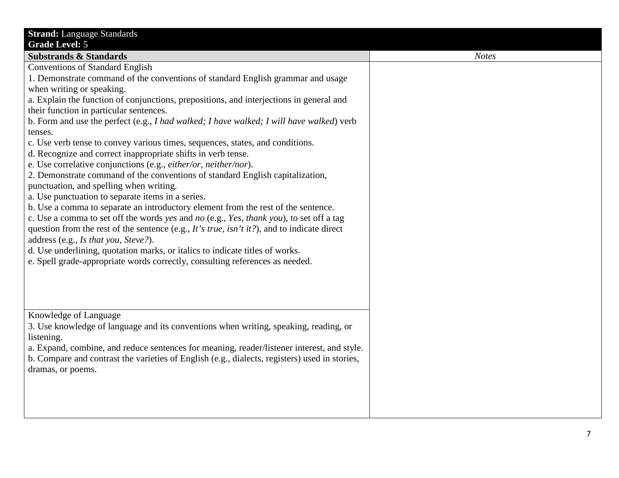| <b>Strand: Language Standards</b><br><b>Grade Level: 5</b>                                                                                                                                                                                                                                                                                                                                                                                                                                                                                                                                                                                                                                                                                                                                                                                                                                                                                                                                                                                                                                                                                                                                                                                                                                      |              |
|-------------------------------------------------------------------------------------------------------------------------------------------------------------------------------------------------------------------------------------------------------------------------------------------------------------------------------------------------------------------------------------------------------------------------------------------------------------------------------------------------------------------------------------------------------------------------------------------------------------------------------------------------------------------------------------------------------------------------------------------------------------------------------------------------------------------------------------------------------------------------------------------------------------------------------------------------------------------------------------------------------------------------------------------------------------------------------------------------------------------------------------------------------------------------------------------------------------------------------------------------------------------------------------------------|--------------|
| <b>Substrands &amp; Standards</b>                                                                                                                                                                                                                                                                                                                                                                                                                                                                                                                                                                                                                                                                                                                                                                                                                                                                                                                                                                                                                                                                                                                                                                                                                                                               | <b>Notes</b> |
| <b>Conventions of Standard English</b><br>1. Demonstrate command of the conventions of standard English grammar and usage<br>when writing or speaking.<br>a. Explain the function of conjunctions, prepositions, and interjections in general and<br>their function in particular sentences.<br>b. Form and use the perfect (e.g., I had walked; I have walked; I will have walked) verb<br>tenses.<br>c. Use verb tense to convey various times, sequences, states, and conditions.<br>d. Recognize and correct inappropriate shifts in verb tense.<br>e. Use correlative conjunctions (e.g., either/or, neither/nor).<br>2. Demonstrate command of the conventions of standard English capitalization,<br>punctuation, and spelling when writing.<br>a. Use punctuation to separate items in a series.<br>b. Use a comma to separate an introductory element from the rest of the sentence.<br>c. Use a comma to set off the words yes and no (e.g., Yes, thank you), to set off a tag<br>question from the rest of the sentence (e.g., It's true, isn't it?), and to indicate direct<br>address (e.g., Is that you, Steve?).<br>d. Use underlining, quotation marks, or italics to indicate titles of works.<br>e. Spell grade-appropriate words correctly, consulting references as needed. |              |
| Knowledge of Language<br>3. Use knowledge of language and its conventions when writing, speaking, reading, or<br>listening.<br>a. Expand, combine, and reduce sentences for meaning, reader/listener interest, and style.<br>b. Compare and contrast the varieties of English (e.g., dialects, registers) used in stories,<br>dramas, or poems.                                                                                                                                                                                                                                                                                                                                                                                                                                                                                                                                                                                                                                                                                                                                                                                                                                                                                                                                                 |              |